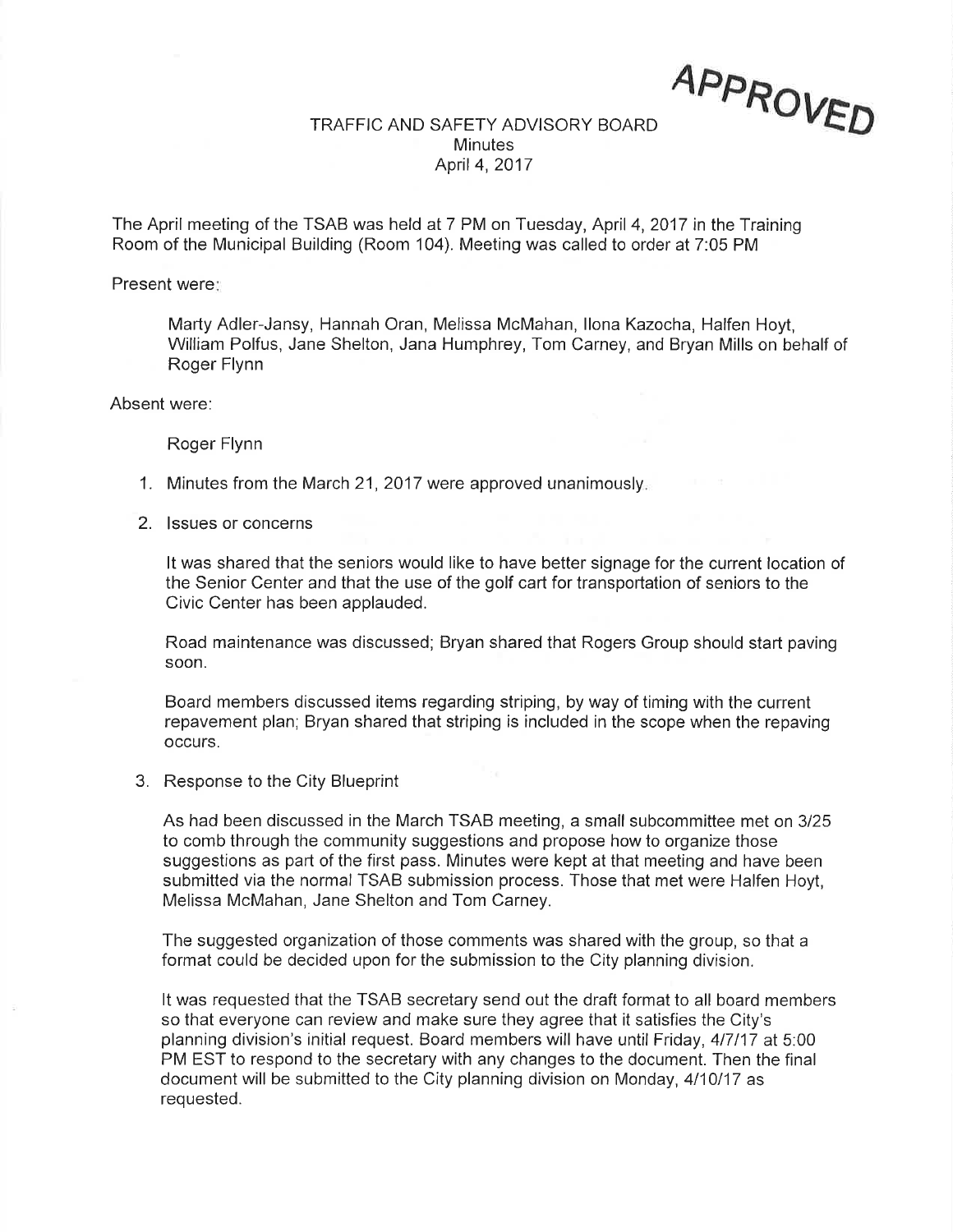AppRoyê.D

## TRAFFIC AND SAFETY ADVISORY BOARD Minutes April 4,2Q17

The April meeting of the TSAB was held at 7 PM on Tuesday, April 4,2017 in the Training Room of the Municipal Building (Room 104). Meeting was called to order at 7:05 PM

Present were:

Marty Adler-Jansy, Hannah Oran, Melissa McMahan, llona Kazocha, Halfen Hoyt, William Polfus, Jane Shelton, Jana Humphrey, Tom Carney, and Bryan Mills on behalf of Roger Flynn

Absent were:

Roger Flynn

- 1. Minutes from the March 21, 2017 were approved unanimously.
- 2. lssues or concerns

It was shared that the seniors would like to have better signage for the current location of the Senior Center and that the use of the golf cart for transportation of seniors to the Civic Center has been applauded.

Road maintenance was discussed; Bryan shared that Rogers Group should start paving soon.

Board members discussed items regarding striping, by way of timing with the current repavement plan; Bryan shared that striping is included in the scope when the repaving occurs.

3. Response to the City Blueprint

As had been discussed in the March TSAB meeting, a small subcommittee met on 3125 to comb through the community suggestions and propose how to organize those suggestions as part of the first pass. Minutes were kept at that meeting and have been submitted via the normal TSAB submission process. Those that met were Halfen Hoyt, Melissa McMahan, Jane Shelton and Tom Carney.

The suggested organization of those comments was shared with the group, so that a format could be decided upon for the submission to the City planning division.

It was requested that the TSAB secretary send out the draft format to all board members so that everyone can review and make sure they agree that it satisfies the City's planning division's initial request. Board members will have until Friday,4l7l17 at 5:00 PM EST to respond to the secretary with any changes to the document. Then the final document will be submitted to the City planning division on Monday, 4/10/17 as requested.